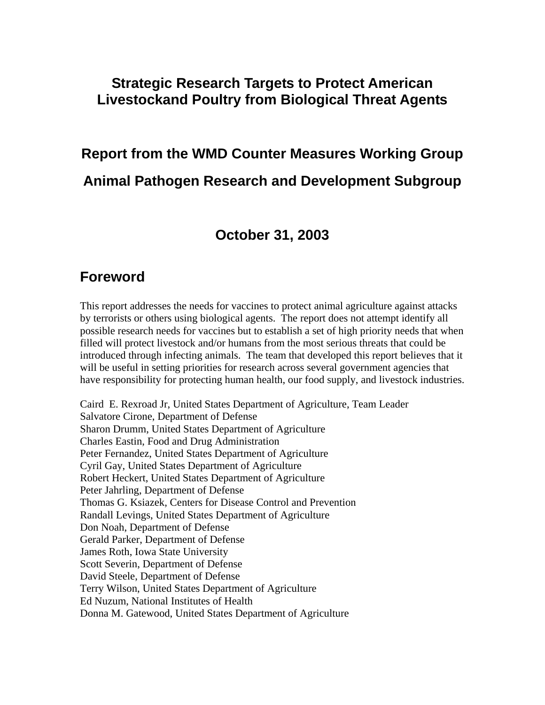### **Strategic Research Targets to Protect American Livestockand Poultry from Biological Threat Agents**

# **Report from the WMD Counter Measures Working Group Animal Pathogen Research and Development Subgroup**

### **October 31, 2003**

### **Foreword**

This report addresses the needs for vaccines to protect animal agriculture against attacks by terrorists or others using biological agents. The report does not attempt identify all possible research needs for vaccines but to establish a set of high priority needs that when filled will protect livestock and/or humans from the most serious threats that could be introduced through infecting animals. The team that developed this report believes that it will be useful in setting priorities for research across several government agencies that have responsibility for protecting human health, our food supply, and livestock industries.

Caird E. Rexroad Jr, United States Department of Agriculture, Team Leader Salvatore Cirone, Department of Defense Sharon Drumm, United States Department of Agriculture Charles Eastin, Food and Drug Administration Peter Fernandez, United States Department of Agriculture Cyril Gay, United States Department of Agriculture Robert Heckert, United States Department of Agriculture Peter Jahrling, Department of Defense Thomas G. Ksiazek, Centers for Disease Control and Prevention Randall Levings, United States Department of Agriculture Don Noah, Department of Defense Gerald Parker, Department of Defense James Roth, Iowa State University Scott Severin, Department of Defense David Steele, Department of Defense Terry Wilson, United States Department of Agriculture Ed Nuzum, National Institutes of Health Donna M. Gatewood, United States Department of Agriculture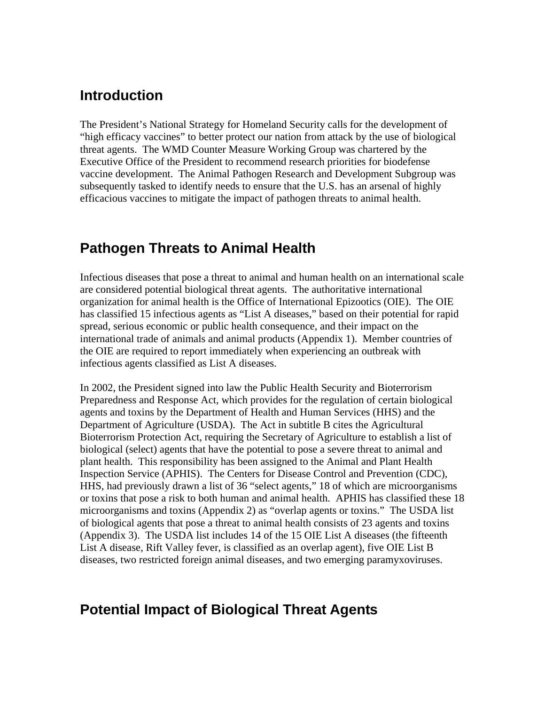### **Introduction**

The President's National Strategy for Homeland Security calls for the development of "high efficacy vaccines" to better protect our nation from attack by the use of biological threat agents. The WMD Counter Measure Working Group was chartered by the Executive Office of the President to recommend research priorities for biodefense vaccine development. The Animal Pathogen Research and Development Subgroup was subsequently tasked to identify needs to ensure that the U.S. has an arsenal of highly efficacious vaccines to mitigate the impact of pathogen threats to animal health.

### **Pathogen Threats to Animal Health**

Infectious diseases that pose a threat to animal and human health on an international scale are considered potential biological threat agents. The authoritative international organization for animal health is the Office of International Epizootics (OIE). The OIE has classified 15 infectious agents as "List A diseases," based on their potential for rapid spread, serious economic or public health consequence, and their impact on the international trade of animals and animal products (Appendix 1). Member countries of the OIE are required to report immediately when experiencing an outbreak with infectious agents classified as List A diseases.

In 2002, the President signed into law the Public Health Security and Bioterrorism Preparedness and Response Act, which provides for the regulation of certain biological agents and toxins by the Department of Health and Human Services (HHS) and the Department of Agriculture (USDA). The Act in subtitle B cites the Agricultural Bioterrorism Protection Act, requiring the Secretary of Agriculture to establish a list of biological (select) agents that have the potential to pose a severe threat to animal and plant health. This responsibility has been assigned to the Animal and Plant Health Inspection Service (APHIS). The Centers for Disease Control and Prevention (CDC), HHS, had previously drawn a list of 36 "select agents," 18 of which are microorganisms or toxins that pose a risk to both human and animal health. APHIS has classified these 18 microorganisms and toxins (Appendix 2) as "overlap agents or toxins." The USDA list of biological agents that pose a threat to animal health consists of 23 agents and toxins (Appendix 3). The USDA list includes 14 of the 15 OIE List A diseases (the fifteenth List A disease, Rift Valley fever, is classified as an overlap agent), five OIE List B diseases, two restricted foreign animal diseases, and two emerging paramyxoviruses.

### **Potential Impact of Biological Threat Agents**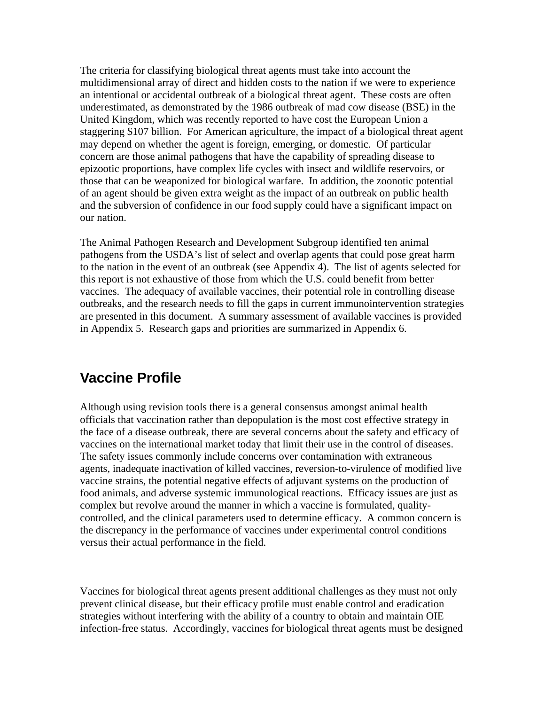The criteria for classifying biological threat agents must take into account the multidimensional array of direct and hidden costs to the nation if we were to experience an intentional or accidental outbreak of a biological threat agent. These costs are often underestimated, as demonstrated by the 1986 outbreak of mad cow disease (BSE) in the United Kingdom, which was recently reported to have cost the European Union a staggering \$107 billion. For American agriculture, the impact of a biological threat agent may depend on whether the agent is foreign, emerging, or domestic. Of particular concern are those animal pathogens that have the capability of spreading disease to epizootic proportions, have complex life cycles with insect and wildlife reservoirs, or those that can be weaponized for biological warfare. In addition, the zoonotic potential of an agent should be given extra weight as the impact of an outbreak on public health and the subversion of confidence in our food supply could have a significant impact on our nation.

The Animal Pathogen Research and Development Subgroup identified ten animal pathogens from the USDA's list of select and overlap agents that could pose great harm to the nation in the event of an outbreak (see Appendix 4). The list of agents selected for this report is not exhaustive of those from which the U.S. could benefit from better vaccines. The adequacy of available vaccines, their potential role in controlling disease outbreaks, and the research needs to fill the gaps in current immunointervention strategies are presented in this document. A summary assessment of available vaccines is provided in Appendix 5. Research gaps and priorities are summarized in Appendix 6.

# **Vaccine Profile**

Although using revision tools there is a general consensus amongst animal health officials that vaccination rather than depopulation is the most cost effective strategy in the face of a disease outbreak, there are several concerns about the safety and efficacy of vaccines on the international market today that limit their use in the control of diseases. The safety issues commonly include concerns over contamination with extraneous agents, inadequate inactivation of killed vaccines, reversion-to-virulence of modified live vaccine strains, the potential negative effects of adjuvant systems on the production of food animals, and adverse systemic immunological reactions. Efficacy issues are just as complex but revolve around the manner in which a vaccine is formulated, qualitycontrolled, and the clinical parameters used to determine efficacy. A common concern is the discrepancy in the performance of vaccines under experimental control conditions versus their actual performance in the field.

Vaccines for biological threat agents present additional challenges as they must not only prevent clinical disease, but their efficacy profile must enable control and eradication strategies without interfering with the ability of a country to obtain and maintain OIE infection-free status. Accordingly, vaccines for biological threat agents must be designed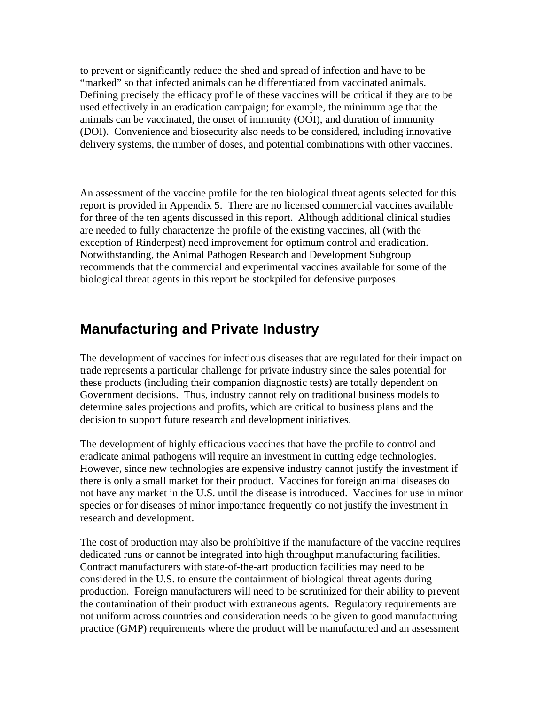to prevent or significantly reduce the shed and spread of infection and have to be "marked" so that infected animals can be differentiated from vaccinated animals. Defining precisely the efficacy profile of these vaccines will be critical if they are to be used effectively in an eradication campaign; for example, the minimum age that the animals can be vaccinated, the onset of immunity (OOI), and duration of immunity (DOI). Convenience and biosecurity also needs to be considered, including innovative delivery systems, the number of doses, and potential combinations with other vaccines.

An assessment of the vaccine profile for the ten biological threat agents selected for this report is provided in Appendix 5. There are no licensed commercial vaccines available for three of the ten agents discussed in this report. Although additional clinical studies are needed to fully characterize the profile of the existing vaccines, all (with the exception of Rinderpest) need improvement for optimum control and eradication. Notwithstanding, the Animal Pathogen Research and Development Subgroup recommends that the commercial and experimental vaccines available for some of the biological threat agents in this report be stockpiled for defensive purposes.

# **Manufacturing and Private Industry**

The development of vaccines for infectious diseases that are regulated for their impact on trade represents a particular challenge for private industry since the sales potential for these products (including their companion diagnostic tests) are totally dependent on Government decisions. Thus, industry cannot rely on traditional business models to determine sales projections and profits, which are critical to business plans and the decision to support future research and development initiatives.

The development of highly efficacious vaccines that have the profile to control and eradicate animal pathogens will require an investment in cutting edge technologies. However, since new technologies are expensive industry cannot justify the investment if there is only a small market for their product. Vaccines for foreign animal diseases do not have any market in the U.S. until the disease is introduced. Vaccines for use in minor species or for diseases of minor importance frequently do not justify the investment in research and development.

The cost of production may also be prohibitive if the manufacture of the vaccine requires dedicated runs or cannot be integrated into high throughput manufacturing facilities. Contract manufacturers with state-of-the-art production facilities may need to be considered in the U.S. to ensure the containment of biological threat agents during production. Foreign manufacturers will need to be scrutinized for their ability to prevent the contamination of their product with extraneous agents. Regulatory requirements are not uniform across countries and consideration needs to be given to good manufacturing practice (GMP) requirements where the product will be manufactured and an assessment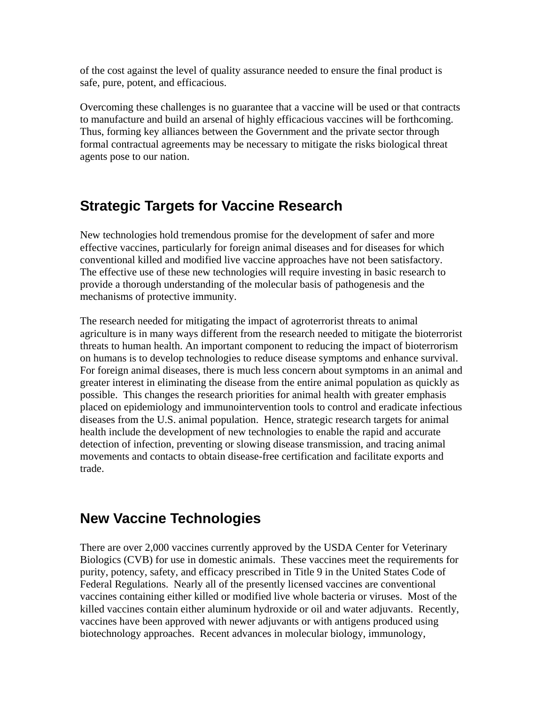of the cost against the level of quality assurance needed to ensure the final product is safe, pure, potent, and efficacious.

Overcoming these challenges is no guarantee that a vaccine will be used or that contracts to manufacture and build an arsenal of highly efficacious vaccines will be forthcoming. Thus, forming key alliances between the Government and the private sector through formal contractual agreements may be necessary to mitigate the risks biological threat agents pose to our nation.

### **Strategic Targets for Vaccine Research**

New technologies hold tremendous promise for the development of safer and more effective vaccines, particularly for foreign animal diseases and for diseases for which conventional killed and modified live vaccine approaches have not been satisfactory. The effective use of these new technologies will require investing in basic research to provide a thorough understanding of the molecular basis of pathogenesis and the mechanisms of protective immunity.

The research needed for mitigating the impact of agroterrorist threats to animal agriculture is in many ways different from the research needed to mitigate the bioterrorist threats to human health. An important component to reducing the impact of bioterrorism on humans is to develop technologies to reduce disease symptoms and enhance survival. For foreign animal diseases, there is much less concern about symptoms in an animal and greater interest in eliminating the disease from the entire animal population as quickly as possible. This changes the research priorities for animal health with greater emphasis placed on epidemiology and immunointervention tools to control and eradicate infectious diseases from the U.S. animal population. Hence, strategic research targets for animal health include the development of new technologies to enable the rapid and accurate detection of infection, preventing or slowing disease transmission, and tracing animal movements and contacts to obtain disease-free certification and facilitate exports and trade.

### **New Vaccine Technologies**

There are over 2,000 vaccines currently approved by the USDA Center for Veterinary Biologics (CVB) for use in domestic animals. These vaccines meet the requirements for purity, potency, safety, and efficacy prescribed in Title 9 in the United States Code of Federal Regulations. Nearly all of the presently licensed vaccines are conventional vaccines containing either killed or modified live whole bacteria or viruses. Most of the killed vaccines contain either aluminum hydroxide or oil and water adjuvants. Recently, vaccines have been approved with newer adjuvants or with antigens produced using biotechnology approaches. Recent advances in molecular biology, immunology,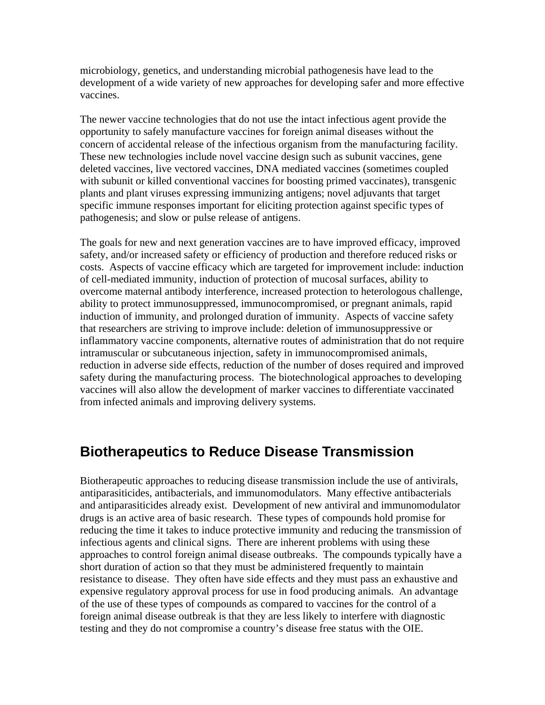microbiology, genetics, and understanding microbial pathogenesis have lead to the development of a wide variety of new approaches for developing safer and more effective vaccines.

The newer vaccine technologies that do not use the intact infectious agent provide the opportunity to safely manufacture vaccines for foreign animal diseases without the concern of accidental release of the infectious organism from the manufacturing facility. These new technologies include novel vaccine design such as subunit vaccines, gene deleted vaccines, live vectored vaccines, DNA mediated vaccines (sometimes coupled with subunit or killed conventional vaccines for boosting primed vaccinates), transgenic plants and plant viruses expressing immunizing antigens; novel adjuvants that target specific immune responses important for eliciting protection against specific types of pathogenesis; and slow or pulse release of antigens.

The goals for new and next generation vaccines are to have improved efficacy, improved safety, and/or increased safety or efficiency of production and therefore reduced risks or costs. Aspects of vaccine efficacy which are targeted for improvement include: induction of cell-mediated immunity, induction of protection of mucosal surfaces, ability to overcome maternal antibody interference, increased protection to heterologous challenge, ability to protect immunosuppressed, immunocompromised, or pregnant animals, rapid induction of immunity, and prolonged duration of immunity. Aspects of vaccine safety that researchers are striving to improve include: deletion of immunosuppressive or inflammatory vaccine components, alternative routes of administration that do not require intramuscular or subcutaneous injection, safety in immunocompromised animals, reduction in adverse side effects, reduction of the number of doses required and improved safety during the manufacturing process. The biotechnological approaches to developing vaccines will also allow the development of marker vaccines to differentiate vaccinated from infected animals and improving delivery systems.

### **Biotherapeutics to Reduce Disease Transmission**

Biotherapeutic approaches to reducing disease transmission include the use of antivirals, antiparasiticides, antibacterials, and immunomodulators. Many effective antibacterials and antiparasiticides already exist. Development of new antiviral and immunomodulator drugs is an active area of basic research. These types of compounds hold promise for reducing the time it takes to induce protective immunity and reducing the transmission of infectious agents and clinical signs. There are inherent problems with using these approaches to control foreign animal disease outbreaks. The compounds typically have a short duration of action so that they must be administered frequently to maintain resistance to disease. They often have side effects and they must pass an exhaustive and expensive regulatory approval process for use in food producing animals. An advantage of the use of these types of compounds as compared to vaccines for the control of a foreign animal disease outbreak is that they are less likely to interfere with diagnostic testing and they do not compromise a country's disease free status with the OIE.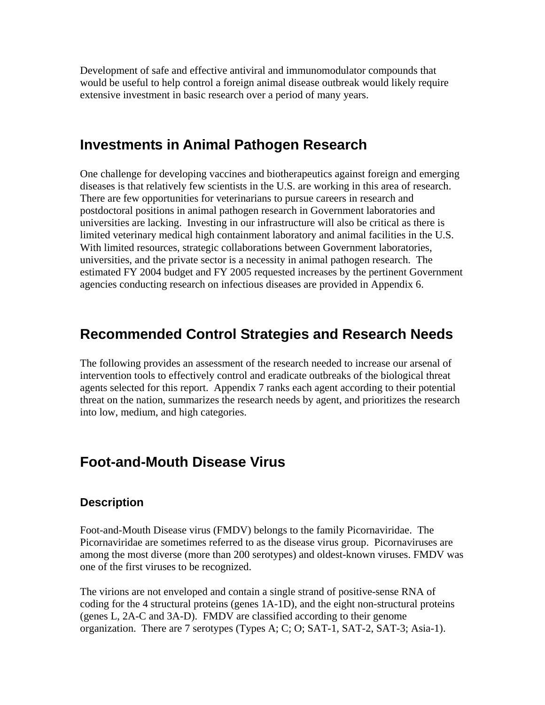Development of safe and effective antiviral and immunomodulator compounds that would be useful to help control a foreign animal disease outbreak would likely require extensive investment in basic research over a period of many years.

### **Investments in Animal Pathogen Research**

One challenge for developing vaccines and biotherapeutics against foreign and emerging diseases is that relatively few scientists in the U.S. are working in this area of research. There are few opportunities for veterinarians to pursue careers in research and postdoctoral positions in animal pathogen research in Government laboratories and universities are lacking. Investing in our infrastructure will also be critical as there is limited veterinary medical high containment laboratory and animal facilities in the U.S. With limited resources, strategic collaborations between Government laboratories, universities, and the private sector is a necessity in animal pathogen research. The estimated FY 2004 budget and FY 2005 requested increases by the pertinent Government agencies conducting research on infectious diseases are provided in Appendix 6.

# **Recommended Control Strategies and Research Needs**

The following provides an assessment of the research needed to increase our arsenal of intervention tools to effectively control and eradicate outbreaks of the biological threat agents selected for this report. Appendix 7 ranks each agent according to their potential threat on the nation, summarizes the research needs by agent, and prioritizes the research into low, medium, and high categories.

# **Foot-and-Mouth Disease Virus**

### **Description**

Foot-and-Mouth Disease virus (FMDV) belongs to the family Picornaviridae. The Picornaviridae are sometimes referred to as the disease virus group. Picornaviruses are among the most diverse (more than 200 serotypes) and oldest-known viruses. FMDV was one of the first viruses to be recognized.

The virions are not enveloped and contain a single strand of positive-sense RNA of coding for the 4 structural proteins (genes 1A-1D), and the eight non-structural proteins (genes L, 2A-C and 3A-D). FMDV are classified according to their genome organization. There are 7 serotypes (Types A; C; O; SAT-1, SAT-2, SAT-3; Asia-1).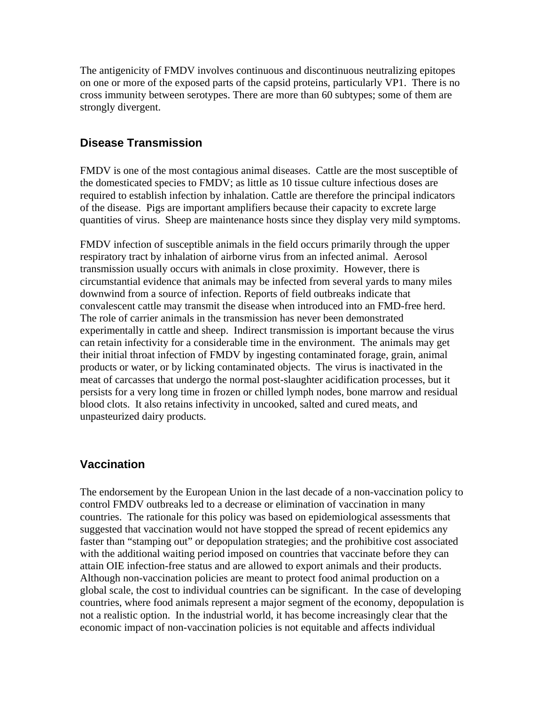The antigenicity of FMDV involves continuous and discontinuous neutralizing epitopes on one or more of the exposed parts of the capsid proteins, particularly VP1. There is no cross immunity between serotypes. There are more than 60 subtypes; some of them are strongly divergent.

### **Disease Transmission**

FMDV is one of the most contagious animal diseases. Cattle are the most susceptible of the domesticated species to FMDV; as little as 10 tissue culture infectious doses are required to establish infection by inhalation. Cattle are therefore the principal indicators of the disease. Pigs are important amplifiers because their capacity to excrete large quantities of virus. Sheep are maintenance hosts since they display very mild symptoms.

FMDV infection of susceptible animals in the field occurs primarily through the upper respiratory tract by inhalation of airborne virus from an infected animal. Aerosol transmission usually occurs with animals in close proximity. However, there is circumstantial evidence that animals may be infected from several yards to many miles downwind from a source of infection. Reports of field outbreaks indicate that convalescent cattle may transmit the disease when introduced into an FMD-free herd. The role of carrier animals in the transmission has never been demonstrated experimentally in cattle and sheep. Indirect transmission is important because the virus can retain infectivity for a considerable time in the environment. The animals may get their initial throat infection of FMDV by ingesting contaminated forage, grain, animal products or water, or by licking contaminated objects. The virus is inactivated in the meat of carcasses that undergo the normal post-slaughter acidification processes, but it persists for a very long time in frozen or chilled lymph nodes, bone marrow and residual blood clots. It also retains infectivity in uncooked, salted and cured meats, and unpasteurized dairy products.

### **Vaccination**

The endorsement by the European Union in the last decade of a non-vaccination policy to control FMDV outbreaks led to a decrease or elimination of vaccination in many countries. The rationale for this policy was based on epidemiological assessments that suggested that vaccination would not have stopped the spread of recent epidemics any faster than "stamping out" or depopulation strategies; and the prohibitive cost associated with the additional waiting period imposed on countries that vaccinate before they can attain OIE infection-free status and are allowed to export animals and their products. Although non-vaccination policies are meant to protect food animal production on a global scale, the cost to individual countries can be significant. In the case of developing countries, where food animals represent a major segment of the economy, depopulation is not a realistic option. In the industrial world, it has become increasingly clear that the economic impact of non-vaccination policies is not equitable and affects individual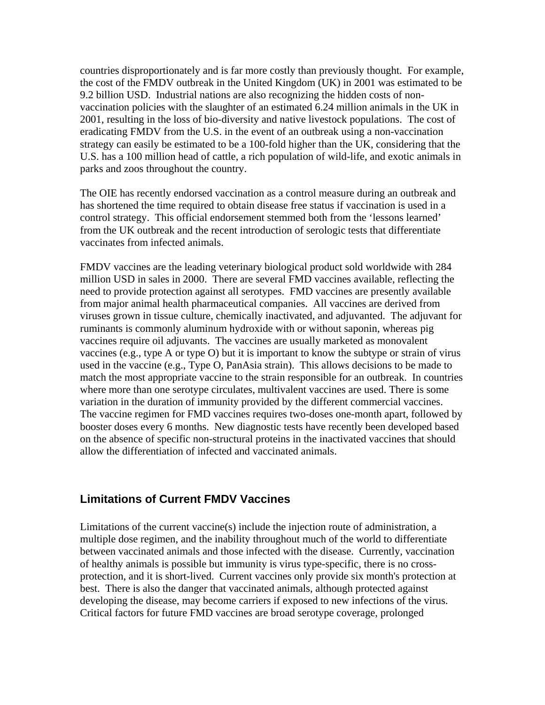countries disproportionately and is far more costly than previously thought. For example, the cost of the FMDV outbreak in the United Kingdom (UK) in 2001 was estimated to be 9.2 billion USD. Industrial nations are also recognizing the hidden costs of nonvaccination policies with the slaughter of an estimated 6.24 million animals in the UK in 2001, resulting in the loss of bio-diversity and native livestock populations. The cost of eradicating FMDV from the U.S. in the event of an outbreak using a non-vaccination strategy can easily be estimated to be a 100-fold higher than the UK, considering that the U.S. has a 100 million head of cattle, a rich population of wild-life, and exotic animals in parks and zoos throughout the country.

The OIE has recently endorsed vaccination as a control measure during an outbreak and has shortened the time required to obtain disease free status if vaccination is used in a control strategy. This official endorsement stemmed both from the 'lessons learned' from the UK outbreak and the recent introduction of serologic tests that differentiate vaccinates from infected animals.

FMDV vaccines are the leading veterinary biological product sold worldwide with 284 million USD in sales in 2000. There are several FMD vaccines available, reflecting the need to provide protection against all serotypes. FMD vaccines are presently available from major animal health pharmaceutical companies. All vaccines are derived from viruses grown in tissue culture, chemically inactivated, and adjuvanted. The adjuvant for ruminants is commonly aluminum hydroxide with or without saponin, whereas pig vaccines require oil adjuvants. The vaccines are usually marketed as monovalent vaccines (e.g., type A or type O) but it is important to know the subtype or strain of virus used in the vaccine (e.g., Type O, PanAsia strain). This allows decisions to be made to match the most appropriate vaccine to the strain responsible for an outbreak. In countries where more than one serotype circulates, multivalent vaccines are used. There is some variation in the duration of immunity provided by the different commercial vaccines. The vaccine regimen for FMD vaccines requires two-doses one-month apart, followed by booster doses every 6 months. New diagnostic tests have recently been developed based on the absence of specific non-structural proteins in the inactivated vaccines that should allow the differentiation of infected and vaccinated animals.

#### **Limitations of Current FMDV Vaccines**

Limitations of the current vaccine(s) include the injection route of administration, a multiple dose regimen, and the inability throughout much of the world to differentiate between vaccinated animals and those infected with the disease. Currently, vaccination of healthy animals is possible but immunity is virus type-specific, there is no crossprotection, and it is short-lived. Current vaccines only provide six month's protection at best. There is also the danger that vaccinated animals, although protected against developing the disease, may become carriers if exposed to new infections of the virus. Critical factors for future FMD vaccines are broad serotype coverage, prolonged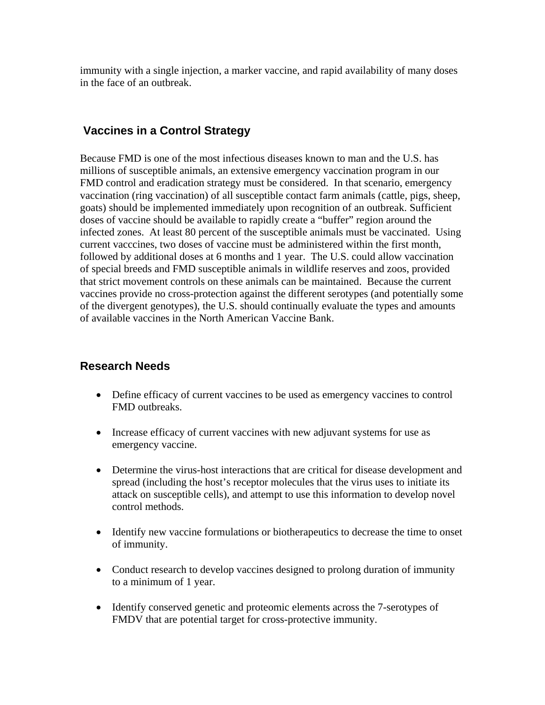immunity with a single injection, a marker vaccine, and rapid availability of many doses in the face of an outbreak.

#### **Vaccines in a Control Strategy**

Because FMD is one of the most infectious diseases known to man and the U.S. has millions of susceptible animals, an extensive emergency vaccination program in our FMD control and eradication strategy must be considered. In that scenario, emergency vaccination (ring vaccination) of all susceptible contact farm animals (cattle, pigs, sheep, goats) should be implemented immediately upon recognition of an outbreak. Sufficient doses of vaccine should be available to rapidly create a "buffer" region around the infected zones. At least 80 percent of the susceptible animals must be vaccinated. Using current vacccines, two doses of vaccine must be administered within the first month, followed by additional doses at 6 months and 1 year. The U.S. could allow vaccination of special breeds and FMD susceptible animals in wildlife reserves and zoos, provided that strict movement controls on these animals can be maintained. Because the current vaccines provide no cross-protection against the different serotypes (and potentially some of the divergent genotypes), the U.S. should continually evaluate the types and amounts of available vaccines in the North American Vaccine Bank.

#### **Research Needs**

- Define efficacy of current vaccines to be used as emergency vaccines to control FMD outbreaks.
- Increase efficacy of current vaccines with new adjuvant systems for use as emergency vaccine.
- Determine the virus-host interactions that are critical for disease development and spread (including the host's receptor molecules that the virus uses to initiate its attack on susceptible cells), and attempt to use this information to develop novel control methods.
- Identify new vaccine formulations or biotherapeutics to decrease the time to onset of immunity.
- Conduct research to develop vaccines designed to prolong duration of immunity to a minimum of 1 year.
- Identify conserved genetic and proteomic elements across the 7-serotypes of FMDV that are potential target for cross-protective immunity.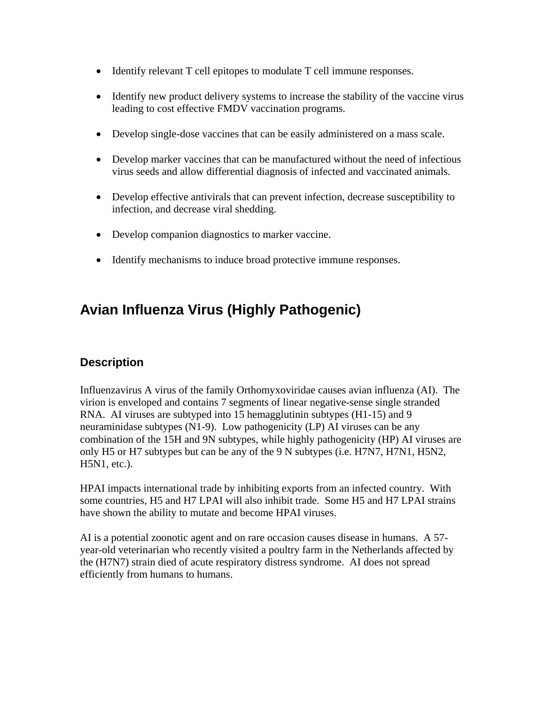- Identify relevant T cell epitopes to modulate T cell immune responses.
- Identify new product delivery systems to increase the stability of the vaccine virus leading to cost effective FMDV vaccination programs.
- Develop single-dose vaccines that can be easily administered on a mass scale.
- Develop marker vaccines that can be manufactured without the need of infectious virus seeds and allow differential diagnosis of infected and vaccinated animals.
- Develop effective antivirals that can prevent infection, decrease susceptibility to infection, and decrease viral shedding.
- Develop companion diagnostics to marker vaccine.
- Identify mechanisms to induce broad protective immune responses.

# **Avian Influenza Virus (Highly Pathogenic)**

### **Description**

Influenzavirus A virus of the family Orthomyxoviridae causes avian influenza (AI). The virion is enveloped and contains 7 segments of linear negative-sense single stranded RNA. AI viruses are subtyped into 15 hemagglutinin subtypes (H1-15) and 9 neuraminidase subtypes (N1-9). Low pathogenicity (LP) AI viruses can be any combination of the 15H and 9N subtypes, while highly pathogenicity (HP) AI viruses are only H5 or H7 subtypes but can be any of the 9 N subtypes (i.e. H7N7, H7N1, H5N2, H5N1, etc.).

HPAI impacts international trade by inhibiting exports from an infected country. With some countries, H5 and H7 LPAI will also inhibit trade. Some H5 and H7 LPAI strains have shown the ability to mutate and become HPAI viruses.

AI is a potential zoonotic agent and on rare occasion causes disease in humans. A 57 year-old veterinarian who recently visited a poultry farm in the Netherlands affected by the (H7N7) strain died of acute respiratory distress syndrome. AI does not spread efficiently from humans to humans.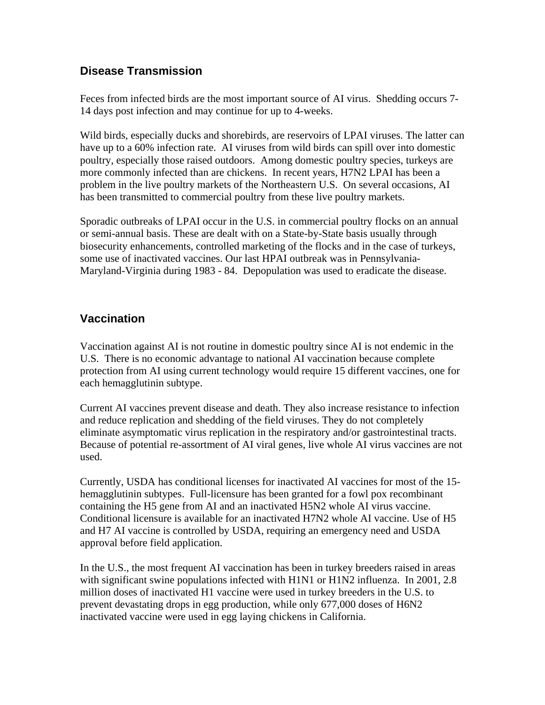### **Disease Transmission**

Feces from infected birds are the most important source of AI virus. Shedding occurs 7- 14 days post infection and may continue for up to 4-weeks.

Wild birds, especially ducks and shorebirds, are reservoirs of LPAI viruses. The latter can have up to a 60% infection rate. AI viruses from wild birds can spill over into domestic poultry, especially those raised outdoors. Among domestic poultry species, turkeys are more commonly infected than are chickens. In recent years, H7N2 LPAI has been a problem in the live poultry markets of the Northeastern U.S. On several occasions, AI has been transmitted to commercial poultry from these live poultry markets.

Sporadic outbreaks of LPAI occur in the U.S. in commercial poultry flocks on an annual or semi-annual basis. These are dealt with on a State-by-State basis usually through biosecurity enhancements, controlled marketing of the flocks and in the case of turkeys, some use of inactivated vaccines. Our last HPAI outbreak was in Pennsylvania-Maryland-Virginia during 1983 - 84. Depopulation was used to eradicate the disease.

### **Vaccination**

Vaccination against AI is not routine in domestic poultry since AI is not endemic in the U.S. There is no economic advantage to national AI vaccination because complete protection from AI using current technology would require 15 different vaccines, one for each hemagglutinin subtype.

Current AI vaccines prevent disease and death. They also increase resistance to infection and reduce replication and shedding of the field viruses. They do not completely eliminate asymptomatic virus replication in the respiratory and/or gastrointestinal tracts. Because of potential re-assortment of AI viral genes, live whole AI virus vaccines are not used.

Currently, USDA has conditional licenses for inactivated AI vaccines for most of the 15 hemagglutinin subtypes. Full-licensure has been granted for a fowl pox recombinant containing the H5 gene from AI and an inactivated H5N2 whole AI virus vaccine. Conditional licensure is available for an inactivated H7N2 whole AI vaccine. Use of H5 and H7 AI vaccine is controlled by USDA, requiring an emergency need and USDA approval before field application.

In the U.S., the most frequent AI vaccination has been in turkey breeders raised in areas with significant swine populations infected with H1N1 or H1N2 influenza. In 2001, 2.8 million doses of inactivated H1 vaccine were used in turkey breeders in the U.S. to prevent devastating drops in egg production, while only 677,000 doses of H6N2 inactivated vaccine were used in egg laying chickens in California.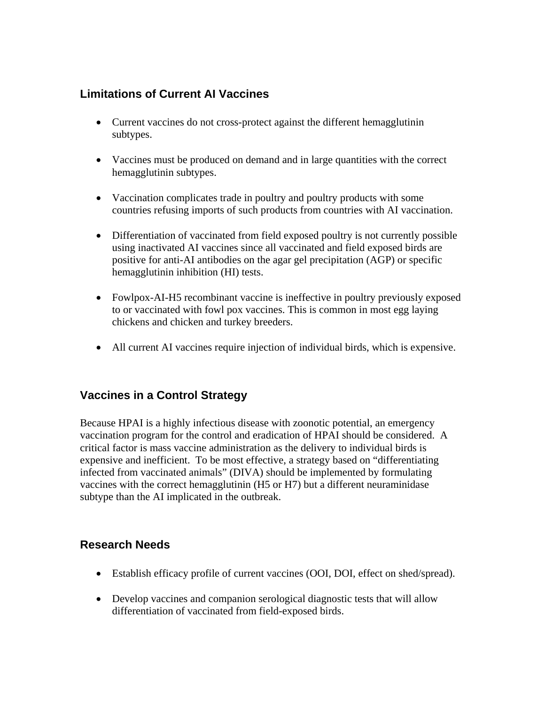### **Limitations of Current AI Vaccines**

- Current vaccines do not cross-protect against the different hemagglutinin subtypes.
- Vaccines must be produced on demand and in large quantities with the correct hemagglutinin subtypes.
- Vaccination complicates trade in poultry and poultry products with some countries refusing imports of such products from countries with AI vaccination.
- Differentiation of vaccinated from field exposed poultry is not currently possible using inactivated AI vaccines since all vaccinated and field exposed birds are positive for anti-AI antibodies on the agar gel precipitation (AGP) or specific hemagglutinin inhibition (HI) tests.
- Fowlpox-AI-H5 recombinant vaccine is ineffective in poultry previously exposed to or vaccinated with fowl pox vaccines. This is common in most egg laying chickens and chicken and turkey breeders.
- All current AI vaccines require injection of individual birds, which is expensive.

### **Vaccines in a Control Strategy**

Because HPAI is a highly infectious disease with zoonotic potential, an emergency vaccination program for the control and eradication of HPAI should be considered. A critical factor is mass vaccine administration as the delivery to individual birds is expensive and inefficient. To be most effective, a strategy based on "differentiating infected from vaccinated animals" (DIVA) should be implemented by formulating vaccines with the correct hemagglutinin (H5 or H7) but a different neuraminidase subtype than the AI implicated in the outbreak.

#### **Research Needs**

- Establish efficacy profile of current vaccines (OOI, DOI, effect on shed/spread).
- Develop vaccines and companion serological diagnostic tests that will allow differentiation of vaccinated from field-exposed birds.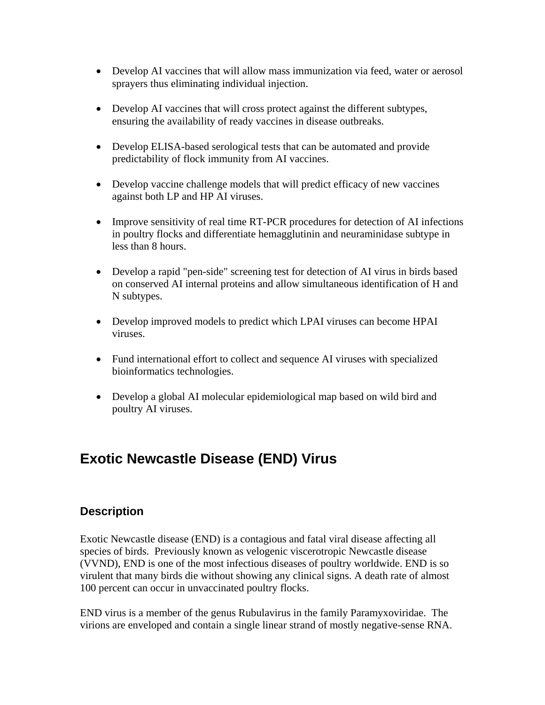- Develop AI vaccines that will allow mass immunization via feed, water or aerosol sprayers thus eliminating individual injection.
- Develop AI vaccines that will cross protect against the different subtypes, ensuring the availability of ready vaccines in disease outbreaks.
- Develop ELISA-based serological tests that can be automated and provide predictability of flock immunity from AI vaccines.
- Develop vaccine challenge models that will predict efficacy of new vaccines against both LP and HP AI viruses.
- Improve sensitivity of real time RT-PCR procedures for detection of AI infections in poultry flocks and differentiate hemagglutinin and neuraminidase subtype in less than 8 hours.
- Develop a rapid "pen-side" screening test for detection of AI virus in birds based on conserved AI internal proteins and allow simultaneous identification of H and N subtypes.
- Develop improved models to predict which LPAI viruses can become HPAI viruses.
- Fund international effort to collect and sequence AI viruses with specialized bioinformatics technologies.
- Develop a global AI molecular epidemiological map based on wild bird and poultry AI viruses.

# **Exotic Newcastle Disease (END) Virus**

### **Description**

Exotic Newcastle disease (END) is a contagious and fatal viral disease affecting all species of birds. Previously known as velogenic viscerotropic Newcastle disease (VVND), END is one of the most infectious diseases of poultry worldwide. END is so virulent that many birds die without showing any clinical signs. A death rate of almost 100 percent can occur in unvaccinated poultry flocks.

END virus is a member of the genus Rubulavirus in the family Paramyxoviridae. The virions are enveloped and contain a single linear strand of mostly negative-sense RNA.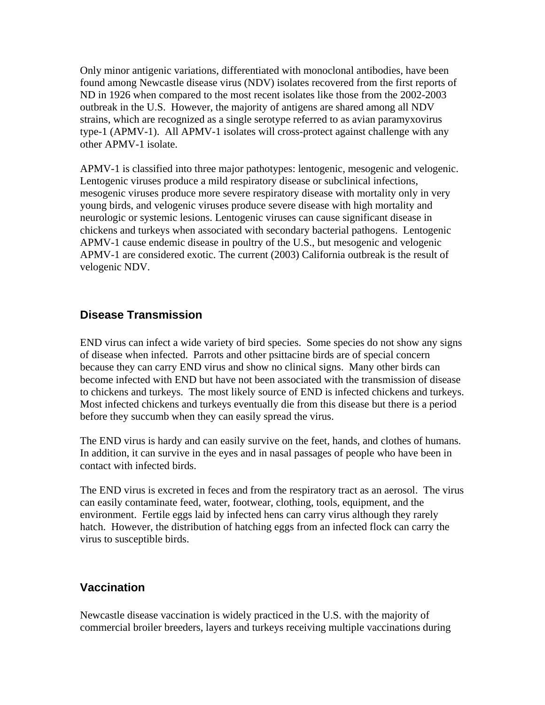Only minor antigenic variations, differentiated with monoclonal antibodies, have been found among Newcastle disease virus (NDV) isolates recovered from the first reports of ND in 1926 when compared to the most recent isolates like those from the 2002-2003 outbreak in the U.S. However, the majority of antigens are shared among all NDV strains, which are recognized as a single serotype referred to as avian paramyxovirus type-1 (APMV-1). All APMV-1 isolates will cross-protect against challenge with any other APMV-1 isolate.

APMV-1 is classified into three major pathotypes: lentogenic, mesogenic and velogenic. Lentogenic viruses produce a mild respiratory disease or subclinical infections, mesogenic viruses produce more severe respiratory disease with mortality only in very young birds, and velogenic viruses produce severe disease with high mortality and neurologic or systemic lesions. Lentogenic viruses can cause significant disease in chickens and turkeys when associated with secondary bacterial pathogens. Lentogenic APMV-1 cause endemic disease in poultry of the U.S., but mesogenic and velogenic APMV-1 are considered exotic. The current (2003) California outbreak is the result of velogenic NDV.

### **Disease Transmission**

END virus can infect a wide variety of bird species. Some species do not show any signs of disease when infected. Parrots and other psittacine birds are of special concern because they can carry END virus and show no clinical signs. Many other birds can become infected with END but have not been associated with the transmission of disease to chickens and turkeys. The most likely source of END is infected chickens and turkeys. Most infected chickens and turkeys eventually die from this disease but there is a period before they succumb when they can easily spread the virus.

The END virus is hardy and can easily survive on the feet, hands, and clothes of humans. In addition, it can survive in the eyes and in nasal passages of people who have been in contact with infected birds.

The END virus is excreted in feces and from the respiratory tract as an aerosol. The virus can easily contaminate feed, water, footwear, clothing, tools, equipment, and the environment. Fertile eggs laid by infected hens can carry virus although they rarely hatch. However, the distribution of hatching eggs from an infected flock can carry the virus to susceptible birds.

#### **Vaccination**

Newcastle disease vaccination is widely practiced in the U.S. with the majority of commercial broiler breeders, layers and turkeys receiving multiple vaccinations during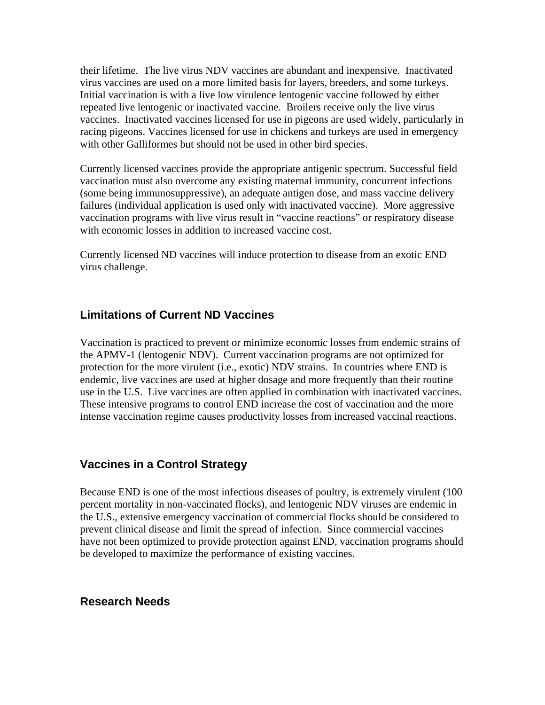their lifetime. The live virus NDV vaccines are abundant and inexpensive. Inactivated virus vaccines are used on a more limited basis for layers, breeders, and some turkeys. Initial vaccination is with a live low virulence lentogenic vaccine followed by either repeated live lentogenic or inactivated vaccine. Broilers receive only the live virus vaccines. Inactivated vaccines licensed for use in pigeons are used widely, particularly in racing pigeons. Vaccines licensed for use in chickens and turkeys are used in emergency with other Galliformes but should not be used in other bird species.

Currently licensed vaccines provide the appropriate antigenic spectrum. Successful field vaccination must also overcome any existing maternal immunity, concurrent infections (some being immunosuppressive), an adequate antigen dose, and mass vaccine delivery failures (individual application is used only with inactivated vaccine). More aggressive vaccination programs with live virus result in "vaccine reactions" or respiratory disease with economic losses in addition to increased vaccine cost.

Currently licensed ND vaccines will induce protection to disease from an exotic END virus challenge.

#### **Limitations of Current ND Vaccines**

Vaccination is practiced to prevent or minimize economic losses from endemic strains of the APMV-1 (lentogenic NDV). Current vaccination programs are not optimized for protection for the more virulent (i.e., exotic) NDV strains. In countries where END is endemic, live vaccines are used at higher dosage and more frequently than their routine use in the U.S. Live vaccines are often applied in combination with inactivated vaccines. These intensive programs to control END increase the cost of vaccination and the more intense vaccination regime causes productivity losses from increased vaccinal reactions.

#### **Vaccines in a Control Strategy**

Because END is one of the most infectious diseases of poultry, is extremely virulent (100 percent mortality in non-vaccinated flocks), and lentogenic NDV viruses are endemic in the U.S., extensive emergency vaccination of commercial flocks should be considered to prevent clinical disease and limit the spread of infection. Since commercial vaccines have not been optimized to provide protection against END, vaccination programs should be developed to maximize the performance of existing vaccines.

#### **Research Needs**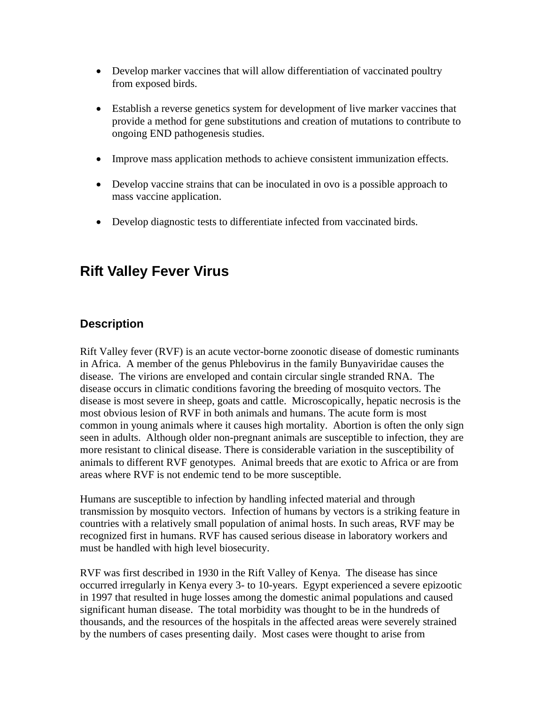- Develop marker vaccines that will allow differentiation of vaccinated poultry from exposed birds.
- Establish a reverse genetics system for development of live marker vaccines that provide a method for gene substitutions and creation of mutations to contribute to ongoing END pathogenesis studies.
- Improve mass application methods to achieve consistent immunization effects.
- Develop vaccine strains that can be inoculated in ovo is a possible approach to mass vaccine application.
- Develop diagnostic tests to differentiate infected from vaccinated birds.

### **Rift Valley Fever Virus**

### **Description**

Rift Valley fever (RVF) is an acute vector-borne zoonotic disease of domestic ruminants in Africa. A member of the genus Phlebovirus in the family Bunyaviridae causes the disease. The virions are enveloped and contain circular single stranded RNA. The disease occurs in climatic conditions favoring the breeding of mosquito vectors. The disease is most severe in sheep, goats and cattle. Microscopically, hepatic necrosis is the most obvious lesion of RVF in both animals and humans. The acute form is most common in young animals where it causes high mortality. Abortion is often the only sign seen in adults. Although older non-pregnant animals are susceptible to infection, they are more resistant to clinical disease. There is considerable variation in the susceptibility of animals to different RVF genotypes. Animal breeds that are exotic to Africa or are from areas where RVF is not endemic tend to be more susceptible.

Humans are susceptible to infection by handling infected material and through transmission by mosquito vectors. Infection of humans by vectors is a striking feature in countries with a relatively small population of animal hosts. In such areas, RVF may be recognized first in humans. RVF has caused serious disease in laboratory workers and must be handled with high level biosecurity.

RVF was first described in 1930 in the Rift Valley of Kenya. The disease has since occurred irregularly in Kenya every 3- to 10-years. Egypt experienced a severe epizootic in 1997 that resulted in huge losses among the domestic animal populations and caused significant human disease. The total morbidity was thought to be in the hundreds of thousands, and the resources of the hospitals in the affected areas were severely strained by the numbers of cases presenting daily. Most cases were thought to arise from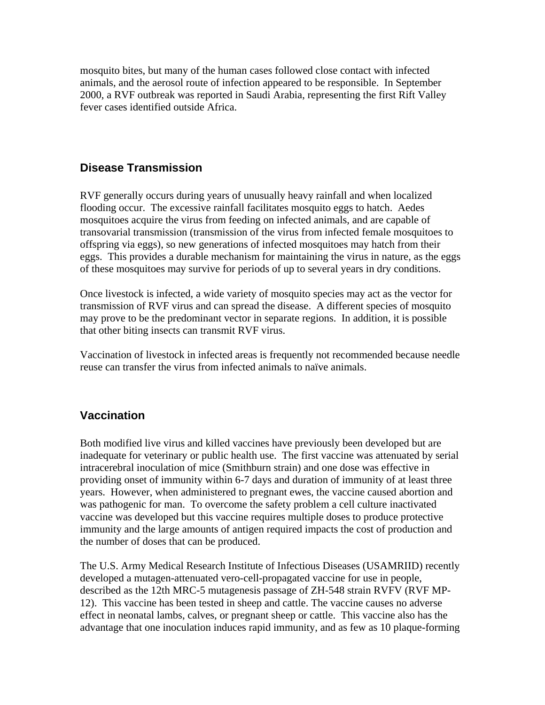mosquito bites, but many of the human cases followed close contact with infected animals, and the aerosol route of infection appeared to be responsible. In September 2000, a RVF outbreak was reported in Saudi Arabia, representing the first Rift Valley fever cases identified outside Africa.

#### **Disease Transmission**

RVF generally occurs during years of unusually heavy rainfall and when localized flooding occur. The excessive rainfall facilitates mosquito eggs to hatch. Aedes mosquitoes acquire the virus from feeding on infected animals, and are capable of transovarial transmission (transmission of the virus from infected female mosquitoes to offspring via eggs), so new generations of infected mosquitoes may hatch from their eggs. This provides a durable mechanism for maintaining the virus in nature, as the eggs of these mosquitoes may survive for periods of up to several years in dry conditions.

Once livestock is infected, a wide variety of mosquito species may act as the vector for transmission of RVF virus and can spread the disease. A different species of mosquito may prove to be the predominant vector in separate regions. In addition, it is possible that other biting insects can transmit RVF virus.

Vaccination of livestock in infected areas is frequently not recommended because needle reuse can transfer the virus from infected animals to naïve animals.

#### **Vaccination**

Both modified live virus and killed vaccines have previously been developed but are inadequate for veterinary or public health use. The first vaccine was attenuated by serial intracerebral inoculation of mice (Smithburn strain) and one dose was effective in providing onset of immunity within 6-7 days and duration of immunity of at least three years. However, when administered to pregnant ewes, the vaccine caused abortion and was pathogenic for man. To overcome the safety problem a cell culture inactivated vaccine was developed but this vaccine requires multiple doses to produce protective immunity and the large amounts of antigen required impacts the cost of production and the number of doses that can be produced.

The U.S. Army Medical Research Institute of Infectious Diseases (USAMRIID) recently developed a mutagen-attenuated vero-cell-propagated vaccine for use in people, described as the 12th MRC-5 mutagenesis passage of ZH-548 strain RVFV (RVF MP-12). This vaccine has been tested in sheep and cattle. The vaccine causes no adverse effect in neonatal lambs, calves, or pregnant sheep or cattle. This vaccine also has the advantage that one inoculation induces rapid immunity, and as few as 10 plaque-forming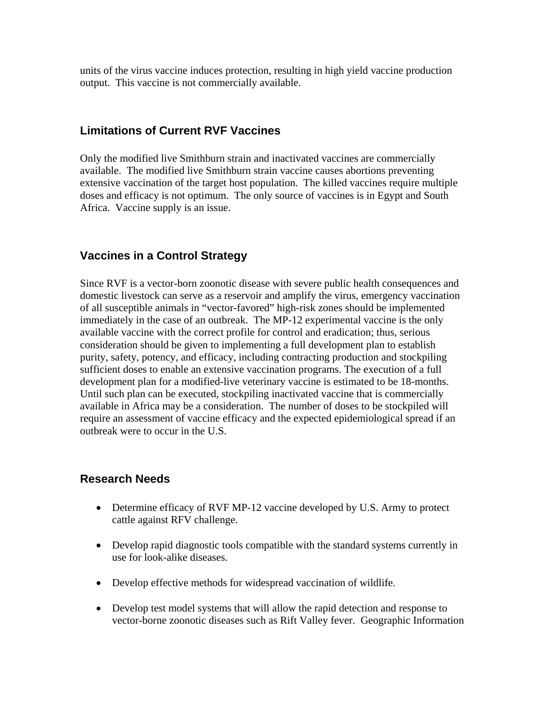units of the virus vaccine induces protection, resulting in high yield vaccine production output. This vaccine is not commercially available.

### **Limitations of Current RVF Vaccines**

Only the modified live Smithburn strain and inactivated vaccines are commercially available. The modified live Smithburn strain vaccine causes abortions preventing extensive vaccination of the target host population. The killed vaccines require multiple doses and efficacy is not optimum. The only source of vaccines is in Egypt and South Africa. Vaccine supply is an issue.

### **Vaccines in a Control Strategy**

Since RVF is a vector-born zoonotic disease with severe public health consequences and domestic livestock can serve as a reservoir and amplify the virus, emergency vaccination of all susceptible animals in "vector-favored" high-risk zones should be implemented immediately in the case of an outbreak. The MP-12 experimental vaccine is the only available vaccine with the correct profile for control and eradication; thus, serious consideration should be given to implementing a full development plan to establish purity, safety, potency, and efficacy, including contracting production and stockpiling sufficient doses to enable an extensive vaccination programs. The execution of a full development plan for a modified-live veterinary vaccine is estimated to be 18-months. Until such plan can be executed, stockpiling inactivated vaccine that is commercially available in Africa may be a consideration. The number of doses to be stockpiled will require an assessment of vaccine efficacy and the expected epidemiological spread if an outbreak were to occur in the U.S.

### **Research Needs**

- Determine efficacy of RVF MP-12 vaccine developed by U.S. Army to protect cattle against RFV challenge.
- Develop rapid diagnostic tools compatible with the standard systems currently in use for look-alike diseases.
- Develop effective methods for widespread vaccination of wildlife.
- Develop test model systems that will allow the rapid detection and response to vector-borne zoonotic diseases such as Rift Valley fever. Geographic Information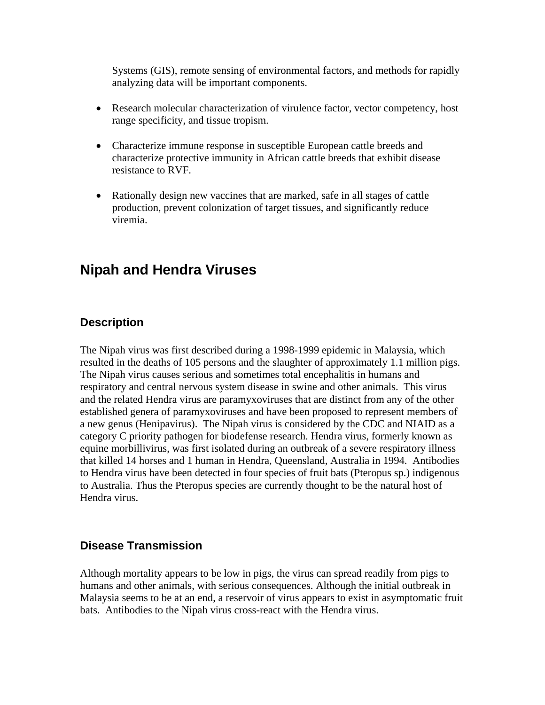Systems (GIS), remote sensing of environmental factors, and methods for rapidly analyzing data will be important components.

- Research molecular characterization of virulence factor, vector competency, host range specificity, and tissue tropism.
- Characterize immune response in susceptible European cattle breeds and characterize protective immunity in African cattle breeds that exhibit disease resistance to RVF.
- Rationally design new vaccines that are marked, safe in all stages of cattle production, prevent colonization of target tissues, and significantly reduce viremia.

### **Nipah and Hendra Viruses**

### **Description**

The Nipah virus was first described during a 1998-1999 epidemic in Malaysia, which resulted in the deaths of 105 persons and the slaughter of approximately 1.1 million pigs. The Nipah virus causes serious and sometimes total encephalitis in humans and respiratory and central nervous system disease in swine and other animals. This virus and the related Hendra virus are paramyxoviruses that are distinct from any of the other established genera of paramyxoviruses and have been proposed to represent members of a new genus (Henipavirus). The Nipah virus is considered by the CDC and NIAID as a category C priority pathogen for biodefense research. Hendra virus, formerly known as equine morbillivirus, was first isolated during an outbreak of a severe respiratory illness that killed 14 horses and 1 human in Hendra, Queensland, Australia in 1994. Antibodies to Hendra virus have been detected in four species of fruit bats (Pteropus sp.) indigenous to Australia. Thus the Pteropus species are currently thought to be the natural host of Hendra virus.

### **Disease Transmission**

Although mortality appears to be low in pigs, the virus can spread readily from pigs to humans and other animals, with serious consequences. Although the initial outbreak in Malaysia seems to be at an end, a reservoir of virus appears to exist in asymptomatic fruit bats. Antibodies to the Nipah virus cross-react with the Hendra virus.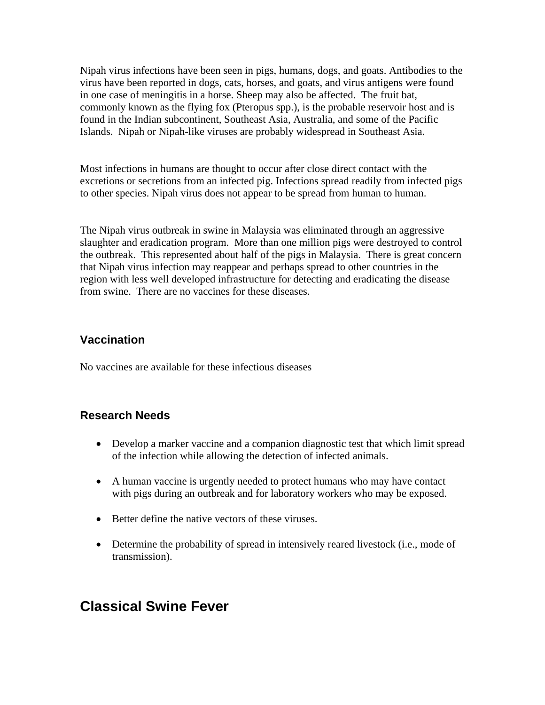Nipah virus infections have been seen in pigs, humans, dogs, and goats. Antibodies to the virus have been reported in dogs, cats, horses, and goats, and virus antigens were found in one case of meningitis in a horse. Sheep may also be affected. The fruit bat, commonly known as the flying fox (Pteropus spp.), is the probable reservoir host and is found in the Indian subcontinent, Southeast Asia, Australia, and some of the Pacific Islands. Nipah or Nipah-like viruses are probably widespread in Southeast Asia.

Most infections in humans are thought to occur after close direct contact with the excretions or secretions from an infected pig. Infections spread readily from infected pigs to other species. Nipah virus does not appear to be spread from human to human.

The Nipah virus outbreak in swine in Malaysia was eliminated through an aggressive slaughter and eradication program. More than one million pigs were destroyed to control the outbreak. This represented about half of the pigs in Malaysia. There is great concern that Nipah virus infection may reappear and perhaps spread to other countries in the region with less well developed infrastructure for detecting and eradicating the disease from swine. There are no vaccines for these diseases.

### **Vaccination**

No vaccines are available for these infectious diseases

### **Research Needs**

- Develop a marker vaccine and a companion diagnostic test that which limit spread of the infection while allowing the detection of infected animals.
- A human vaccine is urgently needed to protect humans who may have contact with pigs during an outbreak and for laboratory workers who may be exposed.
- Better define the native vectors of these viruses.
- Determine the probability of spread in intensively reared livestock (i.e., mode of transmission).

### **Classical Swine Fever**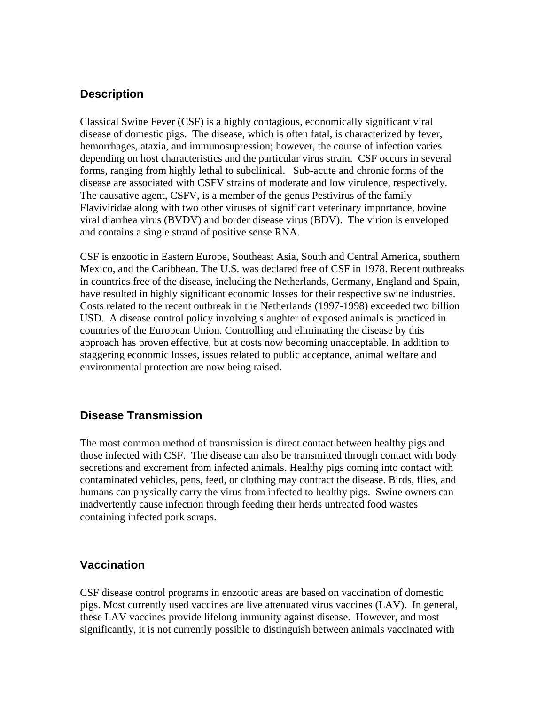### **Description**

Classical Swine Fever (CSF) is a highly contagious, economically significant viral disease of domestic pigs. The disease, which is often fatal, is characterized by fever, hemorrhages, ataxia, and immunosupression; however, the course of infection varies depending on host characteristics and the particular virus strain. CSF occurs in several forms, ranging from highly lethal to subclinical. Sub-acute and chronic forms of the disease are associated with CSFV strains of moderate and low virulence, respectively. The causative agent, CSFV, is a member of the genus Pestivirus of the family Flaviviridae along with two other viruses of significant veterinary importance, bovine viral diarrhea virus (BVDV) and border disease virus (BDV). The virion is enveloped and contains a single strand of positive sense RNA.

CSF is enzootic in Eastern Europe, Southeast Asia, South and Central America, southern Mexico, and the Caribbean. The U.S. was declared free of CSF in 1978. Recent outbreaks in countries free of the disease, including the Netherlands, Germany, England and Spain, have resulted in highly significant economic losses for their respective swine industries. Costs related to the recent outbreak in the Netherlands (1997-1998) exceeded two billion USD. A disease control policy involving slaughter of exposed animals is practiced in countries of the European Union. Controlling and eliminating the disease by this approach has proven effective, but at costs now becoming unacceptable. In addition to staggering economic losses, issues related to public acceptance, animal welfare and environmental protection are now being raised.

### **Disease Transmission**

The most common method of transmission is direct contact between healthy pigs and those infected with CSF. The disease can also be transmitted through contact with body secretions and excrement from infected animals. Healthy pigs coming into contact with contaminated vehicles, pens, feed, or clothing may contract the disease. Birds, flies, and humans can physically carry the virus from infected to healthy pigs. Swine owners can inadvertently cause infection through feeding their herds untreated food wastes containing infected pork scraps.

### **Vaccination**

CSF disease control programs in enzootic areas are based on vaccination of domestic pigs. Most currently used vaccines are live attenuated virus vaccines (LAV). In general, these LAV vaccines provide lifelong immunity against disease. However, and most significantly, it is not currently possible to distinguish between animals vaccinated with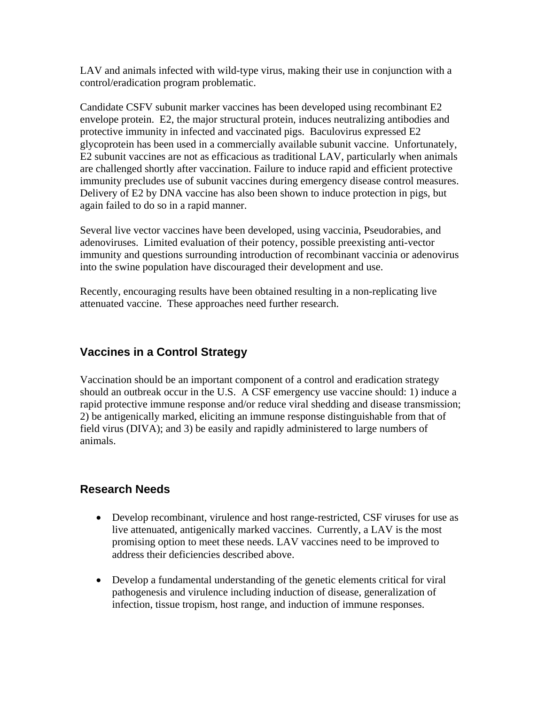LAV and animals infected with wild-type virus, making their use in conjunction with a control/eradication program problematic.

Candidate CSFV subunit marker vaccines has been developed using recombinant E2 envelope protein. E2, the major structural protein, induces neutralizing antibodies and protective immunity in infected and vaccinated pigs. Baculovirus expressed E2 glycoprotein has been used in a commercially available subunit vaccine. Unfortunately, E2 subunit vaccines are not as efficacious as traditional LAV, particularly when animals are challenged shortly after vaccination. Failure to induce rapid and efficient protective immunity precludes use of subunit vaccines during emergency disease control measures. Delivery of E2 by DNA vaccine has also been shown to induce protection in pigs, but again failed to do so in a rapid manner.

Several live vector vaccines have been developed, using vaccinia, Pseudorabies, and adenoviruses. Limited evaluation of their potency, possible preexisting anti-vector immunity and questions surrounding introduction of recombinant vaccinia or adenovirus into the swine population have discouraged their development and use.

Recently, encouraging results have been obtained resulting in a non-replicating live attenuated vaccine. These approaches need further research.

### **Vaccines in a Control Strategy**

Vaccination should be an important component of a control and eradication strategy should an outbreak occur in the U.S. A CSF emergency use vaccine should: 1) induce a rapid protective immune response and/or reduce viral shedding and disease transmission; 2) be antigenically marked, eliciting an immune response distinguishable from that of field virus (DIVA); and 3) be easily and rapidly administered to large numbers of animals.

### **Research Needs**

- Develop recombinant, virulence and host range-restricted, CSF viruses for use as live attenuated, antigenically marked vaccines. Currently, a LAV is the most promising option to meet these needs. LAV vaccines need to be improved to address their deficiencies described above.
- Develop a fundamental understanding of the genetic elements critical for viral pathogenesis and virulence including induction of disease, generalization of infection, tissue tropism, host range, and induction of immune responses.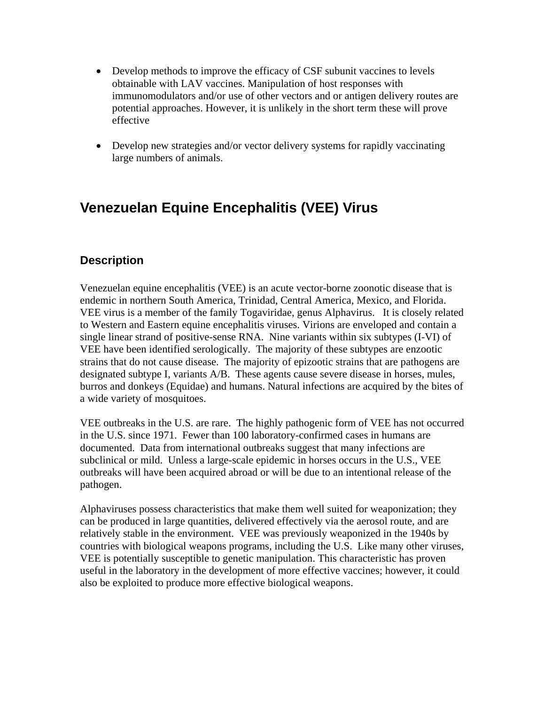- Develop methods to improve the efficacy of CSF subunit vaccines to levels obtainable with LAV vaccines. Manipulation of host responses with immunomodulators and/or use of other vectors and or antigen delivery routes are potential approaches. However, it is unlikely in the short term these will prove effective
- Develop new strategies and/or vector delivery systems for rapidly vaccinating large numbers of animals.

# **Venezuelan Equine Encephalitis (VEE) Virus**

### **Description**

Venezuelan equine encephalitis (VEE) is an acute vector-borne zoonotic disease that is endemic in northern South America, Trinidad, Central America, Mexico, and Florida. VEE virus is a member of the family Togaviridae, genus Alphavirus. It is closely related to Western and Eastern equine encephalitis viruses. Virions are enveloped and contain a single linear strand of positive-sense RNA. Nine variants within six subtypes (I-VI) of VEE have been identified serologically. The majority of these subtypes are enzootic strains that do not cause disease. The majority of epizootic strains that are pathogens are designated subtype I, variants A/B. These agents cause severe disease in horses, mules, burros and donkeys (Equidae) and humans. Natural infections are acquired by the bites of a wide variety of mosquitoes.

VEE outbreaks in the U.S. are rare. The highly pathogenic form of VEE has not occurred in the U.S. since 1971. Fewer than 100 laboratory-confirmed cases in humans are documented. Data from international outbreaks suggest that many infections are subclinical or mild. Unless a large-scale epidemic in horses occurs in the U.S., VEE outbreaks will have been acquired abroad or will be due to an intentional release of the pathogen.

Alphaviruses possess characteristics that make them well suited for weaponization; they can be produced in large quantities, delivered effectively via the aerosol route, and are relatively stable in the environment. VEE was previously weaponized in the 1940s by countries with biological weapons programs, including the U.S. Like many other viruses, VEE is potentially susceptible to genetic manipulation. This characteristic has proven useful in the laboratory in the development of more effective vaccines; however, it could also be exploited to produce more effective biological weapons.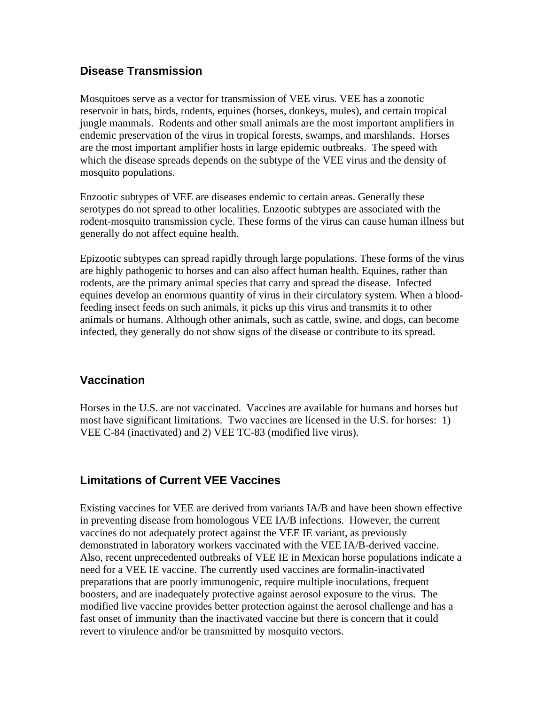### **Disease Transmission**

Mosquitoes serve as a vector for transmission of VEE virus. VEE has a zoonotic reservoir in bats, birds, rodents, equines (horses, donkeys, mules), and certain tropical jungle mammals. Rodents and other small animals are the most important amplifiers in endemic preservation of the virus in tropical forests, swamps, and marshlands. Horses are the most important amplifier hosts in large epidemic outbreaks. The speed with which the disease spreads depends on the subtype of the VEE virus and the density of mosquito populations.

Enzootic subtypes of VEE are diseases endemic to certain areas. Generally these serotypes do not spread to other localities. Enzootic subtypes are associated with the rodent-mosquito transmission cycle. These forms of the virus can cause human illness but generally do not affect equine health.

Epizootic subtypes can spread rapidly through large populations. These forms of the virus are highly pathogenic to horses and can also affect human health. Equines, rather than rodents, are the primary animal species that carry and spread the disease. Infected equines develop an enormous quantity of virus in their circulatory system. When a bloodfeeding insect feeds on such animals, it picks up this virus and transmits it to other animals or humans. Although other animals, such as cattle, swine, and dogs, can become infected, they generally do not show signs of the disease or contribute to its spread.

### **Vaccination**

Horses in the U.S. are not vaccinated. Vaccines are available for humans and horses but most have significant limitations. Two vaccines are licensed in the U.S. for horses: 1) VEE C-84 (inactivated) and 2) VEE TC-83 (modified live virus).

### **Limitations of Current VEE Vaccines**

Existing vaccines for VEE are derived from variants IA/B and have been shown effective in preventing disease from homologous VEE IA/B infections. However, the current vaccines do not adequately protect against the VEE IE variant, as previously demonstrated in laboratory workers vaccinated with the VEE IA/B-derived vaccine. Also, recent unprecedented outbreaks of VEE IE in Mexican horse populations indicate a need for a VEE IE vaccine. The currently used vaccines are formalin-inactivated preparations that are poorly immunogenic, require multiple inoculations, frequent boosters, and are inadequately protective against aerosol exposure to the virus. The modified live vaccine provides better protection against the aerosol challenge and has a fast onset of immunity than the inactivated vaccine but there is concern that it could revert to virulence and/or be transmitted by mosquito vectors.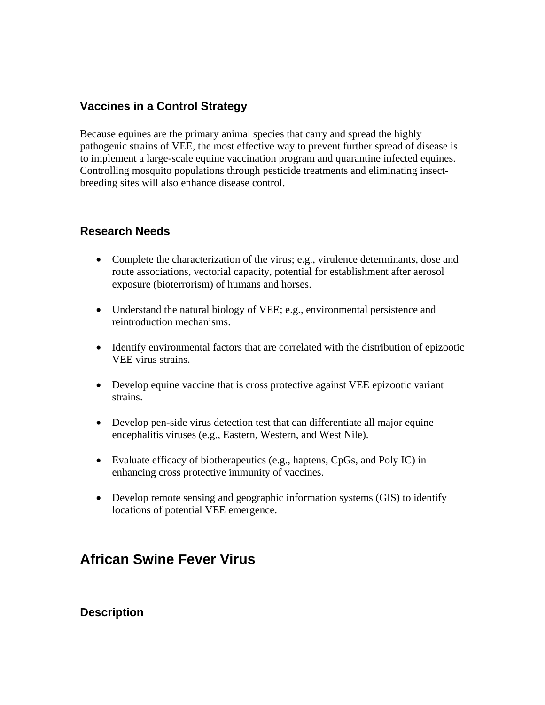### **Vaccines in a Control Strategy**

Because equines are the primary animal species that carry and spread the highly pathogenic strains of VEE, the most effective way to prevent further spread of disease is to implement a large-scale equine vaccination program and quarantine infected equines. Controlling mosquito populations through pesticide treatments and eliminating insectbreeding sites will also enhance disease control.

### **Research Needs**

- Complete the characterization of the virus; e.g., virulence determinants, dose and route associations, vectorial capacity, potential for establishment after aerosol exposure (bioterrorism) of humans and horses.
- Understand the natural biology of VEE; e.g., environmental persistence and reintroduction mechanisms.
- Identify environmental factors that are correlated with the distribution of epizootic VEE virus strains.
- Develop equine vaccine that is cross protective against VEE epizootic variant strains.
- Develop pen-side virus detection test that can differentiate all major equine encephalitis viruses (e.g., Eastern, Western, and West Nile).
- Evaluate efficacy of biotherapeutics (e.g., haptens, CpGs, and Poly IC) in enhancing cross protective immunity of vaccines.
- Develop remote sensing and geographic information systems (GIS) to identify locations of potential VEE emergence.

# **African Swine Fever Virus**

### **Description**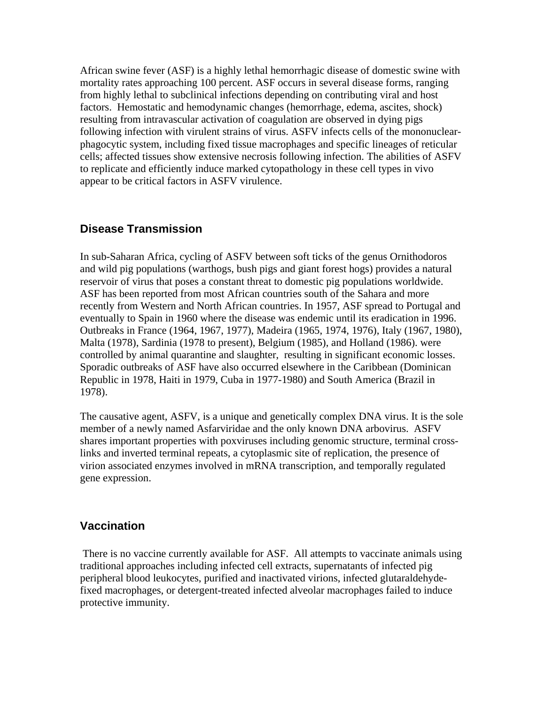African swine fever (ASF) is a highly lethal hemorrhagic disease of domestic swine with mortality rates approaching 100 percent. ASF occurs in several disease forms, ranging from highly lethal to subclinical infections depending on contributing viral and host factors. Hemostatic and hemodynamic changes (hemorrhage, edema, ascites, shock) resulting from intravascular activation of coagulation are observed in dying pigs following infection with virulent strains of virus. ASFV infects cells of the mononuclearphagocytic system, including fixed tissue macrophages and specific lineages of reticular cells; affected tissues show extensive necrosis following infection. The abilities of ASFV to replicate and efficiently induce marked cytopathology in these cell types in vivo appear to be critical factors in ASFV virulence.

### **Disease Transmission**

In sub-Saharan Africa, cycling of ASFV between soft ticks of the genus Ornithodoros and wild pig populations (warthogs, bush pigs and giant forest hogs) provides a natural reservoir of virus that poses a constant threat to domestic pig populations worldwide. ASF has been reported from most African countries south of the Sahara and more recently from Western and North African countries. In 1957, ASF spread to Portugal and eventually to Spain in 1960 where the disease was endemic until its eradication in 1996. Outbreaks in France (1964, 1967, 1977), Madeira (1965, 1974, 1976), Italy (1967, 1980), Malta (1978), Sardinia (1978 to present), Belgium (1985), and Holland (1986). were controlled by animal quarantine and slaughter, resulting in significant economic losses. Sporadic outbreaks of ASF have also occurred elsewhere in the Caribbean (Dominican Republic in 1978, Haiti in 1979, Cuba in 1977-1980) and South America (Brazil in 1978).

The causative agent, ASFV, is a unique and genetically complex DNA virus. It is the sole member of a newly named Asfarviridae and the only known DNA arbovirus. ASFV shares important properties with poxviruses including genomic structure, terminal crosslinks and inverted terminal repeats, a cytoplasmic site of replication, the presence of virion associated enzymes involved in mRNA transcription, and temporally regulated gene expression.

#### **Vaccination**

 There is no vaccine currently available for ASF. All attempts to vaccinate animals using traditional approaches including infected cell extracts, supernatants of infected pig peripheral blood leukocytes, purified and inactivated virions, infected glutaraldehydefixed macrophages, or detergent-treated infected alveolar macrophages failed to induce protective immunity.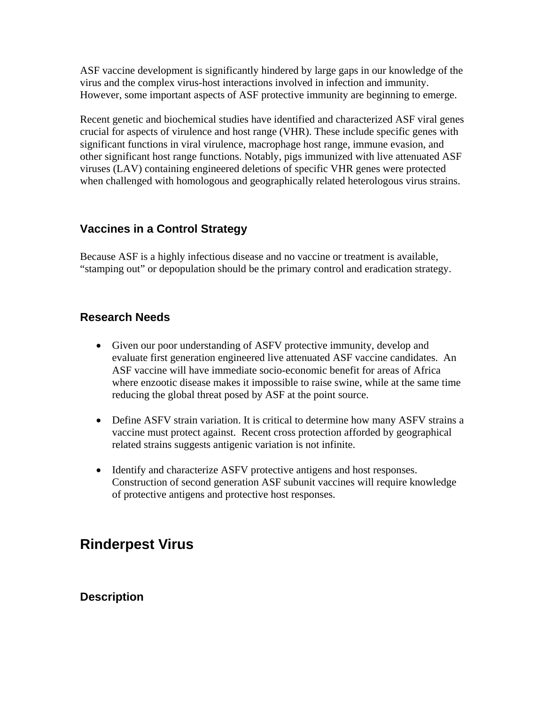ASF vaccine development is significantly hindered by large gaps in our knowledge of the virus and the complex virus-host interactions involved in infection and immunity. However, some important aspects of ASF protective immunity are beginning to emerge.

Recent genetic and biochemical studies have identified and characterized ASF viral genes crucial for aspects of virulence and host range (VHR). These include specific genes with significant functions in viral virulence, macrophage host range, immune evasion, and other significant host range functions. Notably, pigs immunized with live attenuated ASF viruses (LAV) containing engineered deletions of specific VHR genes were protected when challenged with homologous and geographically related heterologous virus strains.

### **Vaccines in a Control Strategy**

Because ASF is a highly infectious disease and no vaccine or treatment is available, "stamping out" or depopulation should be the primary control and eradication strategy.

### **Research Needs**

- Given our poor understanding of ASFV protective immunity, develop and evaluate first generation engineered live attenuated ASF vaccine candidates. An ASF vaccine will have immediate socio-economic benefit for areas of Africa where enzootic disease makes it impossible to raise swine, while at the same time reducing the global threat posed by ASF at the point source.
- Define ASFV strain variation. It is critical to determine how many ASFV strains a vaccine must protect against. Recent cross protection afforded by geographical related strains suggests antigenic variation is not infinite.
- Identify and characterize ASFV protective antigens and host responses. Construction of second generation ASF subunit vaccines will require knowledge of protective antigens and protective host responses.

### **Rinderpest Virus**

### **Description**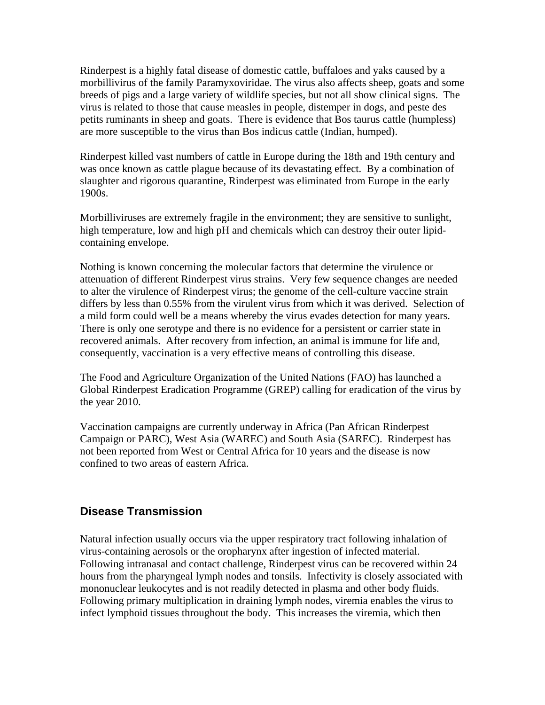Rinderpest is a highly fatal disease of domestic cattle, buffaloes and yaks caused by a morbillivirus of the family Paramyxoviridae. The virus also affects sheep, goats and some breeds of pigs and a large variety of wildlife species, but not all show clinical signs. The virus is related to those that cause measles in people, distemper in dogs, and peste des petits ruminants in sheep and goats. There is evidence that Bos taurus cattle (humpless) are more susceptible to the virus than Bos indicus cattle (Indian, humped).

Rinderpest killed vast numbers of cattle in Europe during the 18th and 19th century and was once known as cattle plague because of its devastating effect. By a combination of slaughter and rigorous quarantine, Rinderpest was eliminated from Europe in the early 1900s.

Morbilliviruses are extremely fragile in the environment; they are sensitive to sunlight, high temperature, low and high pH and chemicals which can destroy their outer lipidcontaining envelope.

Nothing is known concerning the molecular factors that determine the virulence or attenuation of different Rinderpest virus strains. Very few sequence changes are needed to alter the virulence of Rinderpest virus; the genome of the cell-culture vaccine strain differs by less than 0.55% from the virulent virus from which it was derived. Selection of a mild form could well be a means whereby the virus evades detection for many years. There is only one serotype and there is no evidence for a persistent or carrier state in recovered animals. After recovery from infection, an animal is immune for life and, consequently, vaccination is a very effective means of controlling this disease.

The Food and Agriculture Organization of the United Nations (FAO) has launched a Global Rinderpest Eradication Programme (GREP) calling for eradication of the virus by the year 2010.

Vaccination campaigns are currently underway in Africa (Pan African Rinderpest Campaign or PARC), West Asia (WAREC) and South Asia (SAREC). Rinderpest has not been reported from West or Central Africa for 10 years and the disease is now confined to two areas of eastern Africa.

### **Disease Transmission**

Natural infection usually occurs via the upper respiratory tract following inhalation of virus-containing aerosols or the oropharynx after ingestion of infected material. Following intranasal and contact challenge, Rinderpest virus can be recovered within 24 hours from the pharyngeal lymph nodes and tonsils. Infectivity is closely associated with mononuclear leukocytes and is not readily detected in plasma and other body fluids. Following primary multiplication in draining lymph nodes, viremia enables the virus to infect lymphoid tissues throughout the body. This increases the viremia, which then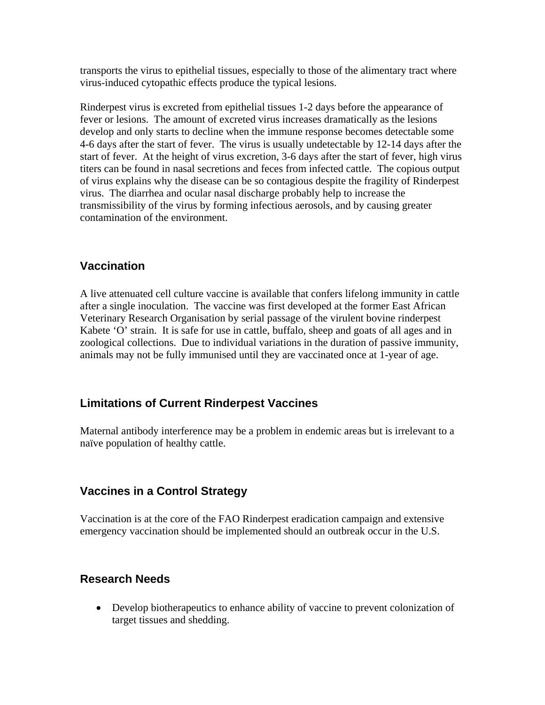transports the virus to epithelial tissues, especially to those of the alimentary tract where virus-induced cytopathic effects produce the typical lesions.

Rinderpest virus is excreted from epithelial tissues 1-2 days before the appearance of fever or lesions. The amount of excreted virus increases dramatically as the lesions develop and only starts to decline when the immune response becomes detectable some 4-6 days after the start of fever. The virus is usually undetectable by 12-14 days after the start of fever. At the height of virus excretion, 3-6 days after the start of fever, high virus titers can be found in nasal secretions and feces from infected cattle. The copious output of virus explains why the disease can be so contagious despite the fragility of Rinderpest virus. The diarrhea and ocular nasal discharge probably help to increase the transmissibility of the virus by forming infectious aerosols, and by causing greater contamination of the environment.

### **Vaccination**

A live attenuated cell culture vaccine is available that confers lifelong immunity in cattle after a single inoculation. The vaccine was first developed at the former East African Veterinary Research Organisation by serial passage of the virulent bovine rinderpest Kabete 'O' strain. It is safe for use in cattle, buffalo, sheep and goats of all ages and in zoological collections. Due to individual variations in the duration of passive immunity, animals may not be fully immunised until they are vaccinated once at 1-year of age.

### **Limitations of Current Rinderpest Vaccines**

Maternal antibody interference may be a problem in endemic areas but is irrelevant to a naïve population of healthy cattle.

### **Vaccines in a Control Strategy**

Vaccination is at the core of the FAO Rinderpest eradication campaign and extensive emergency vaccination should be implemented should an outbreak occur in the U.S.

### **Research Needs**

• Develop biotherapeutics to enhance ability of vaccine to prevent colonization of target tissues and shedding.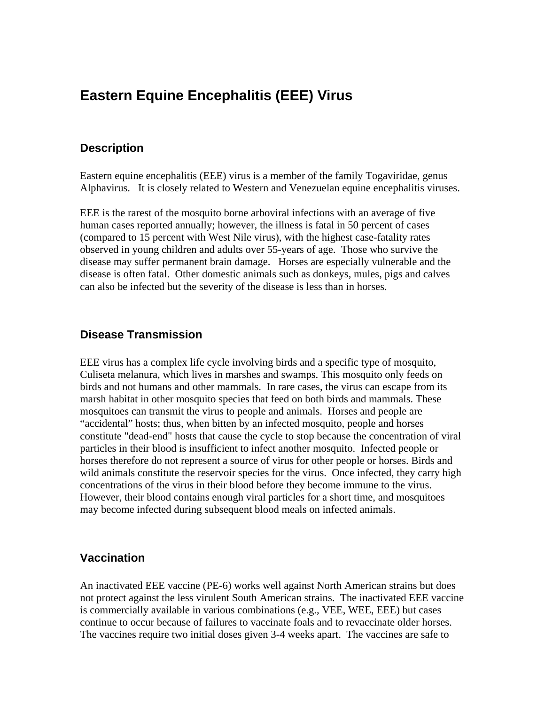## **Eastern Equine Encephalitis (EEE) Virus**

#### **Description**

Eastern equine encephalitis (EEE) virus is a member of the family Togaviridae, genus Alphavirus. It is closely related to Western and Venezuelan equine encephalitis viruses.

EEE is the rarest of the mosquito borne arboviral infections with an average of five human cases reported annually; however, the illness is fatal in 50 percent of cases (compared to 15 percent with West Nile virus), with the highest case-fatality rates observed in young children and adults over 55-years of age. Those who survive the disease may suffer permanent brain damage. Horses are especially vulnerable and the disease is often fatal. Other domestic animals such as donkeys, mules, pigs and calves can also be infected but the severity of the disease is less than in horses.

### **Disease Transmission**

EEE virus has a complex life cycle involving birds and a specific type of mosquito, Culiseta melanura, which lives in marshes and swamps. This mosquito only feeds on birds and not humans and other mammals. In rare cases, the virus can escape from its marsh habitat in other mosquito species that feed on both birds and mammals. These mosquitoes can transmit the virus to people and animals. Horses and people are "accidental" hosts; thus, when bitten by an infected mosquito, people and horses constitute "dead-end" hosts that cause the cycle to stop because the concentration of viral particles in their blood is insufficient to infect another mosquito. Infected people or horses therefore do not represent a source of virus for other people or horses. Birds and wild animals constitute the reservoir species for the virus. Once infected, they carry high concentrations of the virus in their blood before they become immune to the virus. However, their blood contains enough viral particles for a short time, and mosquitoes may become infected during subsequent blood meals on infected animals.

#### **Vaccination**

An inactivated EEE vaccine (PE-6) works well against North American strains but does not protect against the less virulent South American strains. The inactivated EEE vaccine is commercially available in various combinations (e.g., VEE, WEE, EEE) but cases continue to occur because of failures to vaccinate foals and to revaccinate older horses. The vaccines require two initial doses given 3-4 weeks apart. The vaccines are safe to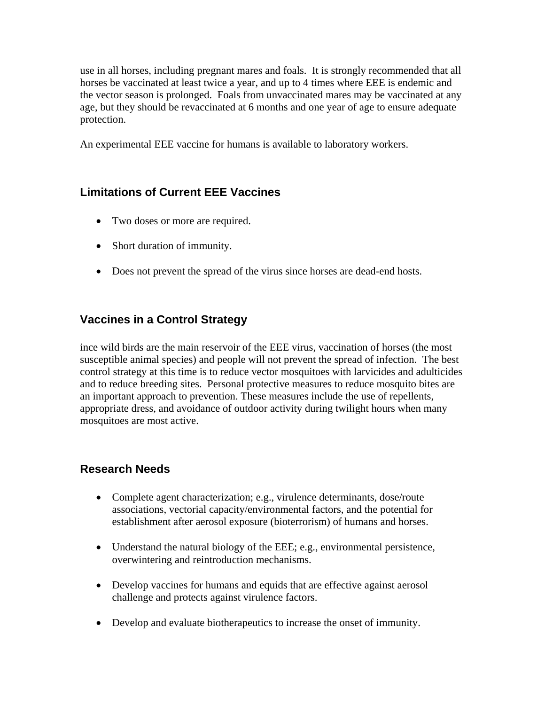use in all horses, including pregnant mares and foals. It is strongly recommended that all horses be vaccinated at least twice a year, and up to 4 times where EEE is endemic and the vector season is prolonged. Foals from unvaccinated mares may be vaccinated at any age, but they should be revaccinated at 6 months and one year of age to ensure adequate protection.

An experimental EEE vaccine for humans is available to laboratory workers.

### **Limitations of Current EEE Vaccines**

- Two doses or more are required.
- Short duration of immunity.
- Does not prevent the spread of the virus since horses are dead-end hosts.

### **Vaccines in a Control Strategy**

ince wild birds are the main reservoir of the EEE virus, vaccination of horses (the most susceptible animal species) and people will not prevent the spread of infection. The best control strategy at this time is to reduce vector mosquitoes with larvicides and adulticides and to reduce breeding sites. Personal protective measures to reduce mosquito bites are an important approach to prevention. These measures include the use of repellents, appropriate dress, and avoidance of outdoor activity during twilight hours when many mosquitoes are most active.

### **Research Needs**

- Complete agent characterization; e.g., virulence determinants, dose/route associations, vectorial capacity/environmental factors, and the potential for establishment after aerosol exposure (bioterrorism) of humans and horses.
- Understand the natural biology of the EEE; e.g., environmental persistence, overwintering and reintroduction mechanisms.
- Develop vaccines for humans and equids that are effective against aerosol challenge and protects against virulence factors.
- Develop and evaluate biotherapeutics to increase the onset of immunity.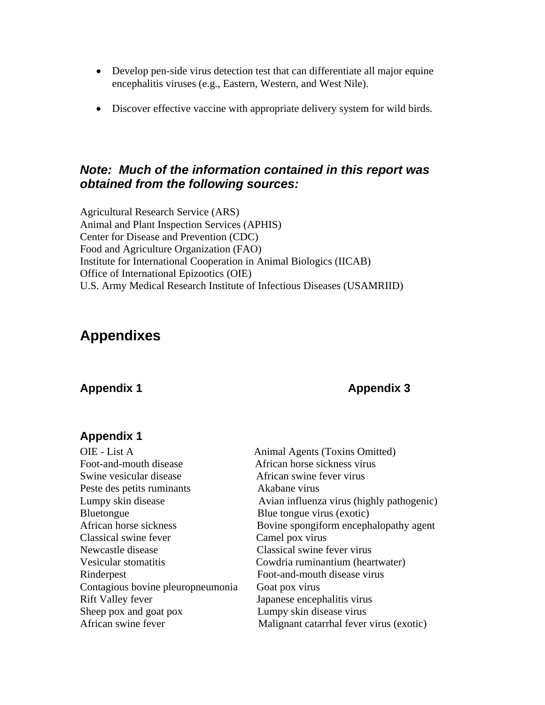- Develop pen-side virus detection test that can differentiate all major equine encephalitis viruses (e.g., Eastern, Western, and West Nile).
- Discover effective vaccine with appropriate delivery system for wild birds.

### *Note: Much of the information contained in this report was obtained from the following sources:*

Agricultural Research Service (ARS) Animal and Plant Inspection Services (APHIS) Center for Disease and Prevention (CDC) Food and Agriculture Organization (FAO) Institute for International Cooperation in Animal Biologics (IICAB) Office of International Epizootics (OIE) U.S. Army Medical Research Institute of Infectious Diseases (USAMRIID)

### **Appendixes**

### Appendix 1 **Appendix 1** Appendix 3

### **Appendix 1**

| OIE - List A                      | Animal Agents (Toxins Omitted)            |
|-----------------------------------|-------------------------------------------|
| Foot-and-mouth disease            | African horse sickness virus              |
| Swine vesicular disease           | African swine fever virus                 |
| Peste des petits ruminants        | Akabane virus                             |
| Lumpy skin disease                | Avian influenza virus (highly pathogenic) |
| <b>Bluetongue</b>                 | Blue tongue virus (exotic)                |
| African horse sickness            | Bovine spongiform encephalopathy agent    |
| Classical swine fever             | Camel pox virus                           |
| Newcastle disease                 | Classical swine fever virus               |
| Vesicular stomatitis              | Cowdria ruminantium (heartwater)          |
| Rinderpest                        | Foot-and-mouth disease virus              |
| Contagious bovine pleuropneumonia | Goat pox virus                            |
| <b>Rift Valley fever</b>          | Japanese encephalitis virus               |
| Sheep pox and goat pox            | Lumpy skin disease virus                  |
| African swine fever               | Malignant catarrhal fever virus (exotic)  |